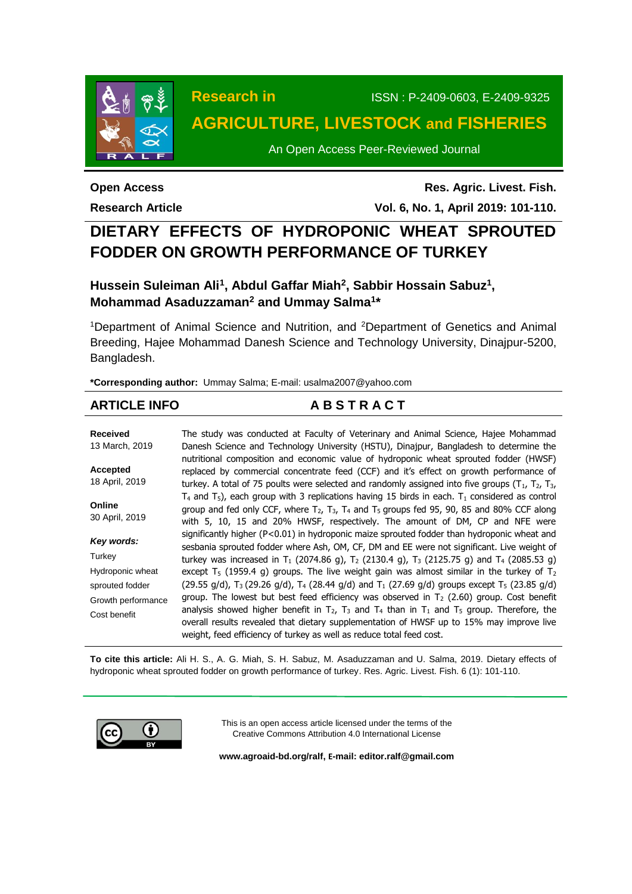

**Research in** ISSN : P-2409-0603, E-2409-9325

# **AGRICULTURE, LIVESTOCK and FISHERIES**

An Open Access Peer-Reviewed Journal

**Open Access**

**Research Article**

**Res. Agric. Livest. Fish. Vol. 6, No. 1, April 2019: 101-110.**

# **DIETARY EFFECTS OF HYDROPONIC WHEAT SPROUTED FODDER ON GROWTH PERFORMANCE OF TURKEY**

# Hussein Suleiman Ali<sup>1</sup>, Abdul Gaffar Miah<sup>2</sup>, Sabbir Hossain Sabuz<sup>1</sup>, **Mohammad Asaduzzaman<sup>2</sup> and Ummay Salma<sup>1</sup> \***

<sup>1</sup>Department of Animal Science and Nutrition, and <sup>2</sup>Department of Genetics and Animal Breeding, Hajee Mohammad Danesh Science and Technology University, Dinajpur-5200, Bangladesh.

**\*Corresponding author:** Ummay Salma; E-mail: [usalma2007@yahoo.com](mailto:usalma2007@yahoo.com)

# **ARTICLE INFO A B S T R A C T**

| <b>Received</b><br>13 March, 2019 | The study was conducted at Faculty of Veterinary and Animal Science, Hajee Mohammad<br>Danesh Science and Technology University (HSTU), Dinajpur, Bangladesh to determine the<br>nutritional composition and economic value of hydroponic wheat sprouted fodder (HWSF) |
|-----------------------------------|------------------------------------------------------------------------------------------------------------------------------------------------------------------------------------------------------------------------------------------------------------------------|
| <b>Accepted</b>                   | replaced by commercial concentrate feed (CCF) and it's effect on growth performance of                                                                                                                                                                                 |
| 18 April, 2019                    | turkey. A total of 75 poults were selected and randomly assigned into five groups $(T_1, T_2, T_3, T_4)$                                                                                                                                                               |
| Online<br>30 April, 2019          | $T_4$ and $T_5$ ), each group with 3 replications having 15 birds in each. $T_1$ considered as control                                                                                                                                                                 |
|                                   | group and fed only CCF, where $T_2$ , $T_3$ , $T_4$ and $T_5$ groups fed 95, 90, 85 and 80% CCF along                                                                                                                                                                  |
|                                   | with 5, 10, 15 and 20% HWSF, respectively. The amount of DM, CP and NFE were                                                                                                                                                                                           |
| Key words:                        | significantly higher (P<0.01) in hydroponic maize sprouted fodder than hydroponic wheat and                                                                                                                                                                            |
|                                   | sesbania sprouted fodder where Ash, OM, CF, DM and EE were not significant. Live weight of                                                                                                                                                                             |
| Turkey                            | turkey was increased in T <sub>1</sub> (2074.86 g), T <sub>2</sub> (2130.4 g), T <sub>3</sub> (2125.75 g) and T <sub>4</sub> (2085.53 g)                                                                                                                               |
| Hydroponic wheat                  | except T <sub>5</sub> (1959.4 g) groups. The live weight gain was almost similar in the turkey of T <sub>2</sub>                                                                                                                                                       |
| sprouted fodder                   | (29.55 g/d), T <sub>3</sub> (29.26 g/d), T <sub>4</sub> (28.44 g/d) and T <sub>1</sub> (27.69 g/d) groups except T <sub>5</sub> (23.85 g/d)                                                                                                                            |
| Growth performance                | group. The lowest but best feed efficiency was observed in $T_2$ (2.60) group. Cost benefit                                                                                                                                                                            |
| Cost benefit                      | analysis showed higher benefit in $T_2$ , $T_3$ and $T_4$ than in $T_1$ and $T_5$ group. Therefore, the                                                                                                                                                                |
|                                   | overall results revealed that dietary supplementation of HWSF up to 15% may improve live                                                                                                                                                                               |
|                                   | weight, feed efficiency of turkey as well as reduce total feed cost.                                                                                                                                                                                                   |

**To cite this article:** Ali H. S., A. G. Miah, S. H. Sabuz, M. Asaduzzaman and U. Salma, 2019. Dietary effects of hydroponic wheat sprouted fodder on growth performance of turkey. Res. Agric. Livest. Fish. 6 (1): 101-110.



This is an open access article licensed under the terms of the Creative Commons Attribution 4.0 International License

**[www.agroaid-bd.org/ralf,](http://www.agroaid-bd.org/ralf) E-mail[: editor.ralf@gmail.com](mailto:editor.ralf@gmail.com)**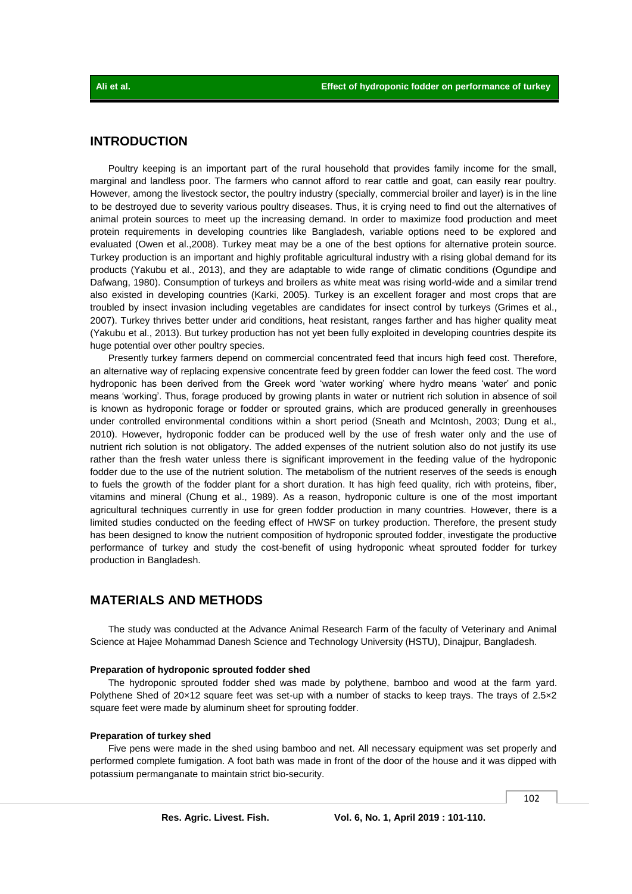### **INTRODUCTION**

Poultry keeping is an important part of the rural household that provides family income for the small, marginal and landless poor. The farmers who cannot afford to rear cattle and goat, can easily rear poultry. However, among the livestock sector, the poultry industry (specially, commercial broiler and layer) is in the line to be destroyed due to severity various poultry diseases. Thus, it is crying need to find out the alternatives of animal protein sources to meet up the increasing demand. In order to maximize food production and meet protein requirements in developing countries like Bangladesh, variable options need to be explored and evaluated (Owen et al.,2008). Turkey meat may be a one of the best options for alternative protein source. Turkey production is an important and highly profitable agricultural industry with a rising global demand for its products (Yakubu et al., 2013), and they are adaptable to wide range of climatic conditions (Ogundipe and Dafwang, 1980). Consumption of turkeys and broilers as white meat was rising world-wide and a similar trend also existed in developing countries (Karki, 2005). Turkey is an excellent forager and most crops that are troubled by insect invasion including vegetables are candidates for insect control by turkeys (Grimes et al., 2007). Turkey thrives better under arid conditions, heat resistant, ranges farther and has higher quality meat (Yakubu et al., 2013). But turkey production has not yet been fully exploited in developing countries despite its huge potential over other poultry species.

Presently turkey farmers depend on commercial concentrated feed that incurs high feed cost. Therefore, an alternative way of replacing expensive concentrate feed by green fodder can lower the feed cost. The word hydroponic has been derived from the Greek word 'water working' where hydro means 'water' and ponic means 'working'. Thus, forage produced by growing plants in water or nutrient rich solution in absence of soil is known as hydroponic forage or fodder or sprouted grains, which are produced generally in greenhouses under controlled environmental conditions within a short period (Sneath and McIntosh, 2003; Dung et al., 2010). However, hydroponic fodder can be produced well by the use of fresh water only and the use of nutrient rich solution is not obligatory. The added expenses of the nutrient solution also do not justify its use rather than the fresh water unless there is significant improvement in the feeding value of the hydroponic fodder due to the use of the nutrient solution. The metabolism of the nutrient reserves of the seeds is enough to fuels the growth of the fodder plant for a short duration. It has high feed quality, rich with proteins, fiber, vitamins and mineral (Chung et al., 1989). As a reason, hydroponic culture is one of the most important agricultural techniques currently in use for green fodder production in many countries. However, there is a limited studies conducted on the feeding effect of HWSF on turkey production. Therefore, the present study has been designed to know the nutrient composition of hydroponic sprouted fodder, investigate the productive performance of turkey and study the cost-benefit of using hydroponic wheat sprouted fodder for turkey production in Bangladesh.

# **MATERIALS AND METHODS**

The study was conducted at the Advance Animal Research Farm of the faculty of Veterinary and Animal Science at Hajee Mohammad Danesh Science and Technology University (HSTU), Dinajpur, Bangladesh.

#### **Preparation of hydroponic sprouted fodder shed**

The hydroponic sprouted fodder shed was made by polythene, bamboo and wood at the farm yard. Polythene Shed of 20×12 square feet was set-up with a number of stacks to keep trays. The trays of 2.5×2 square feet were made by aluminum sheet for sprouting fodder.

#### **Preparation of turkey shed**

Five pens were made in the shed using bamboo and net. All necessary equipment was set properly and performed complete fumigation. A foot bath was made in front of the door of the house and it was dipped with potassium permanganate to maintain strict bio-security.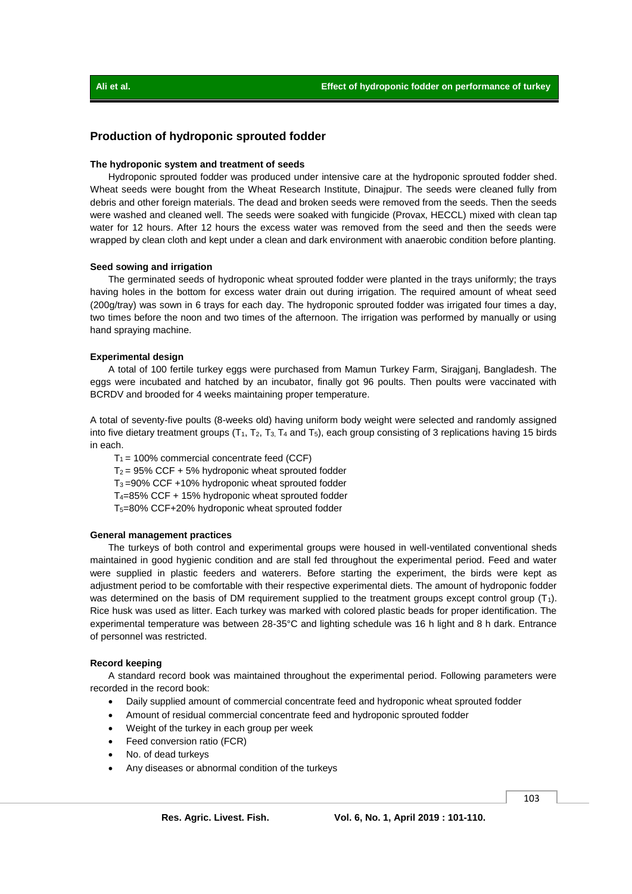### **Production of hydroponic sprouted fodder**

#### **The hydroponic system and treatment of seeds**

Hydroponic sprouted fodder was produced under intensive care at the hydroponic sprouted fodder shed. Wheat seeds were bought from the Wheat Research Institute, Dinajpur. The seeds were cleaned fully from debris and other foreign materials. The dead and broken seeds were removed from the seeds. Then the seeds were washed and cleaned well. The seeds were soaked with fungicide (Provax, HECCL) mixed with clean tap water for 12 hours. After 12 hours the excess water was removed from the seed and then the seeds were wrapped by clean cloth and kept under a clean and dark environment with anaerobic condition before planting.

#### **Seed sowing and irrigation**

The germinated seeds of hydroponic wheat sprouted fodder were planted in the trays uniformly; the trays having holes in the bottom for excess water drain out during irrigation. The required amount of wheat seed (200g/tray) was sown in 6 trays for each day. The hydroponic sprouted fodder was irrigated four times a day, two times before the noon and two times of the afternoon. The irrigation was performed by manually or using hand spraying machine.

#### **Experimental design**

A total of 100 fertile turkey eggs were purchased from Mamun Turkey Farm, Sirajganj, Bangladesh. The eggs were incubated and hatched by an incubator, finally got 96 poults. Then poults were vaccinated with BCRDV and brooded for 4 weeks maintaining proper temperature.

A total of seventy-five poults (8-weeks old) having uniform body weight were selected and randomly assigned into five dietary treatment groups (T<sub>1</sub>, T<sub>2</sub>, T<sub>3</sub>, T<sub>4</sub> and T<sub>5</sub>), each group consisting of 3 replications having 15 birds in each.

 $T_1$  = 100% commercial concentrate feed (CCF)  $T_2$  = 95% CCF + 5% hydroponic wheat sprouted fodder  $T_3 = 90\%$  CCF +10% hydroponic wheat sprouted fodder T4=85% CCF + 15% hydroponic wheat sprouted fodder T5=80% CCF+20% hydroponic wheat sprouted fodder

#### **General management practices**

The turkeys of both control and experimental groups were housed in well-ventilated conventional sheds maintained in good hygienic condition and are stall fed throughout the experimental period. Feed and water were supplied in plastic feeders and waterers. Before starting the experiment, the birds were kept as adjustment period to be comfortable with their respective experimental diets. The amount of hydroponic fodder was determined on the basis of DM requirement supplied to the treatment groups except control group (T<sub>1</sub>). Rice husk was used as litter. Each turkey was marked with colored plastic beads for proper identification. The experimental temperature was between 28-35°C and lighting schedule was 16 h light and 8 h dark. Entrance of personnel was restricted.

#### **Record keeping**

A standard record book was maintained throughout the experimental period. Following parameters were recorded in the record book:

- Daily supplied amount of commercial concentrate feed and hydroponic wheat sprouted fodder
- Amount of residual commercial concentrate feed and hydroponic sprouted fodder
- Weight of the turkey in each group per week
- Feed conversion ratio (FCR)
- No. of dead turkeys
- Any diseases or abnormal condition of the turkeys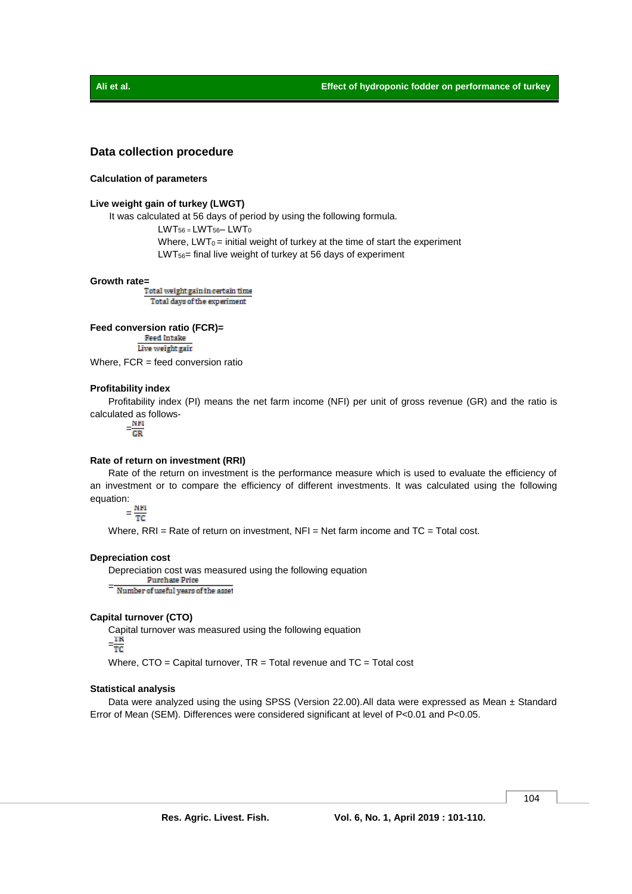## **Data collection procedure**

#### **Calculation of parameters**

### **Live weight gain of turkey (LWGT)**

It was calculated at 56 days of period by using the following formula.  $LWT_{56} = LWT_{56} - LWT_{0}$ Where,  $LWT_0 =$  initial weight of turkey at the time of start the experiment  $LWT_{56}$ = final live weight of turkey at 56 days of experiment

#### **Growth rate=**

Total weight gain in certain time Total days of the experiment

# **Feed conversion ratio (FCR)=**

Live weight gain

Where, FCR = feed conversion ratio

#### **Profitability index**

Profitability index (PI) means the net farm income (NFI) per unit of gross revenue (GR) and the ratio is calculated as follows-

 $=\frac{1}{GR}$ 

#### **Rate of return on investment (RRI)**

Rate of the return on investment is the performance measure which is used to evaluate the efficiency of an investment or to compare the efficiency of different investments. It was calculated using the following equation:

 $=\frac{NFI}{TC}$ 

Where,  $RRI = Rate$  of return on investment,  $NFI = Net$  farm income and  $TC = Total cost$ .

#### **Depreciation cost**

Depreciation cost was measured using the following equation<br>Purchase Price

Number of useful years of the asset

#### **Capital turnover (CTO)**

Capital turnover was measured using the following equation  $\frac{TR}{TC}$ 

Where,  $CTO =$  Capital turnover,  $TR =$  Total revenue and  $TC =$  Total cost

#### **Statistical analysis**

Data were analyzed using the using SPSS (Version 22.00).All data were expressed as Mean ± Standard Error of Mean (SEM). Differences were considered significant at level of P<0.01 and P<0.05.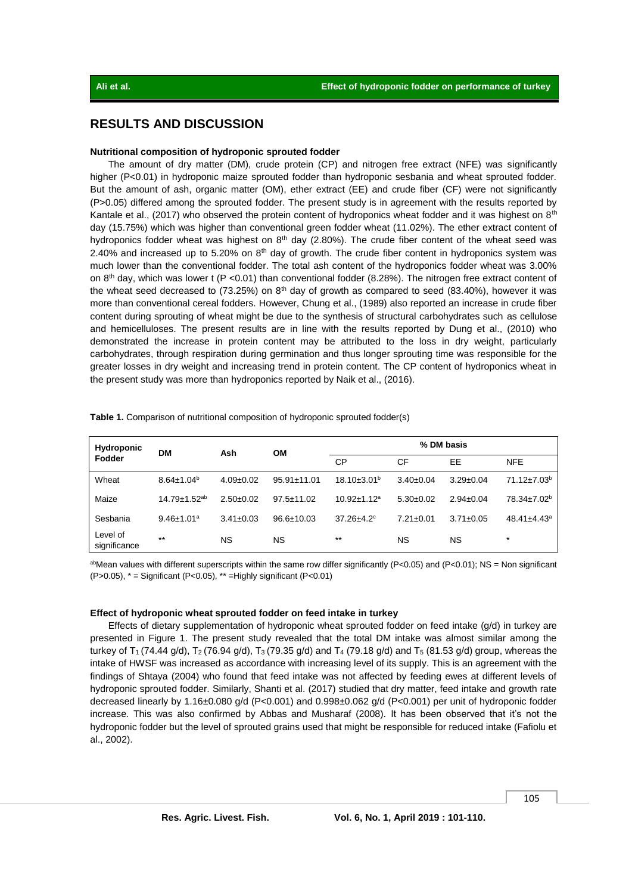# **RESULTS AND DISCUSSION**

#### **Nutritional composition of hydroponic sprouted fodder**

The amount of dry matter (DM), crude protein (CP) and nitrogen free extract (NFE) was significantly higher (P<0.01) in hydroponic maize sprouted fodder than hydroponic sesbania and wheat sprouted fodder. But the amount of ash, organic matter (OM), ether extract (EE) and crude fiber (CF) were not significantly (P>0.05) differed among the sprouted fodder. The present study is in agreement with the results reported by Kantale et al., (2017) who observed the protein content of hydroponics wheat fodder and it was highest on 8<sup>th</sup> day (15.75%) which was higher than conventional green fodder wheat (11.02%). The ether extract content of hydroponics fodder wheat was highest on  $8<sup>th</sup>$  day (2.80%). The crude fiber content of the wheat seed was 2.40% and increased up to 5.20% on  $8<sup>th</sup>$  day of growth. The crude fiber content in hydroponics system was much lower than the conventional fodder. The total ash content of the hydroponics fodder wheat was 3.00% on  $8<sup>th</sup>$  day, which was lower t (P <0.01) than conventional fodder (8.28%). The nitrogen free extract content of the wheat seed decreased to (73.25%) on  $8<sup>th</sup>$  day of growth as compared to seed (83.40%), however it was more than conventional cereal fodders. However, Chung et al., (1989) also reported an increase in crude fiber content during sprouting of wheat might be due to the synthesis of structural carbohydrates such as cellulose and hemicelluloses. The present results are in line with the results reported by Dung et al., (2010) who demonstrated the increase in protein content may be attributed to the loss in dry weight, particularly carbohydrates, through respiration during germination and thus longer sprouting time was responsible for the greater losses in dry weight and increasing trend in protein content. The CP content of hydroponics wheat in the present study was more than hydroponics reported by Naik et al., (2016).

| <b>Hydroponic</b><br>Fodder | DМ                           | Ash             | OM                | % DM basis                    |                 |                 |                               |
|-----------------------------|------------------------------|-----------------|-------------------|-------------------------------|-----------------|-----------------|-------------------------------|
|                             |                              |                 |                   | <b>CP</b>                     | СF              | EE              | <b>NFE</b>                    |
| Wheat                       | $8.64 \pm 1.04^b$            | $4.09 \pm 0.02$ | $95.91 \pm 11.01$ | $18.10 \pm 3.01^{\circ}$      | $3.40 \pm 0.04$ | $3.29 \pm 0.04$ | $71.12 \pm 7.03^b$            |
| Maize                       | $14.79 \pm 1.52^{ab}$        | $2.50+0.02$     | $97.5 \pm 11.02$  | $10.92 \pm 1.12$ <sup>a</sup> | $5.30+0.02$     | $2.94 \pm 0.04$ | $78.34 \pm 7.02^b$            |
| Sesbania                    | $9.46 \pm 1.01$ <sup>a</sup> | $3.41 \pm 0.03$ | $96.6 \pm 10.03$  | $37.26 \pm 4.2$ °             | $7.21 \pm 0.01$ | $3.71 \pm 0.05$ | $48.41 \pm 4.43$ <sup>a</sup> |
| Level of<br>significance    | $**$                         | NS              | ΝS                | $***$                         | NS              | <b>NS</b>       | $\star$                       |

**Table 1.** Comparison of nutritional composition of hydroponic sprouted fodder(s)

abMean values with different superscripts within the same row differ significantly (P<0.05) and (P<0.01); NS = Non significant  $(P>0.05)$ ,  $* =$  Significant  $(P<0.05)$ ,  $** =$ Highly significant  $(P<0.01)$ 

#### **Effect of hydroponic wheat sprouted fodder on feed intake in turkey**

Effects of dietary supplementation of hydroponic wheat sprouted fodder on feed intake (g/d) in turkey are presented in Figure 1. The present study revealed that the total DM intake was almost similar among the turkey of T<sub>1</sub> (74.44 g/d), T<sub>2</sub> (76.94 g/d), T<sub>3</sub> (79.35 g/d) and T<sub>4</sub> (79.18 g/d) and T<sub>5</sub> (81.53 g/d) group, whereas the intake of HWSF was increased as accordance with increasing level of its supply. This is an agreement with the findings of Shtaya (2004) who found that feed intake was not affected by feeding ewes at different levels of hydroponic sprouted fodder. Similarly, Shanti et al. (2017) studied that dry matter, feed intake and growth rate decreased linearly by 1.16±0.080 g/d (P<0.001) and 0.998±0.062 g/d (P<0.001) per unit of hydroponic fodder increase. This was also confirmed by Abbas and Musharaf (2008). It has been observed that it's not the hydroponic fodder but the level of sprouted grains used that might be responsible for reduced intake (Fafiolu et al., 2002).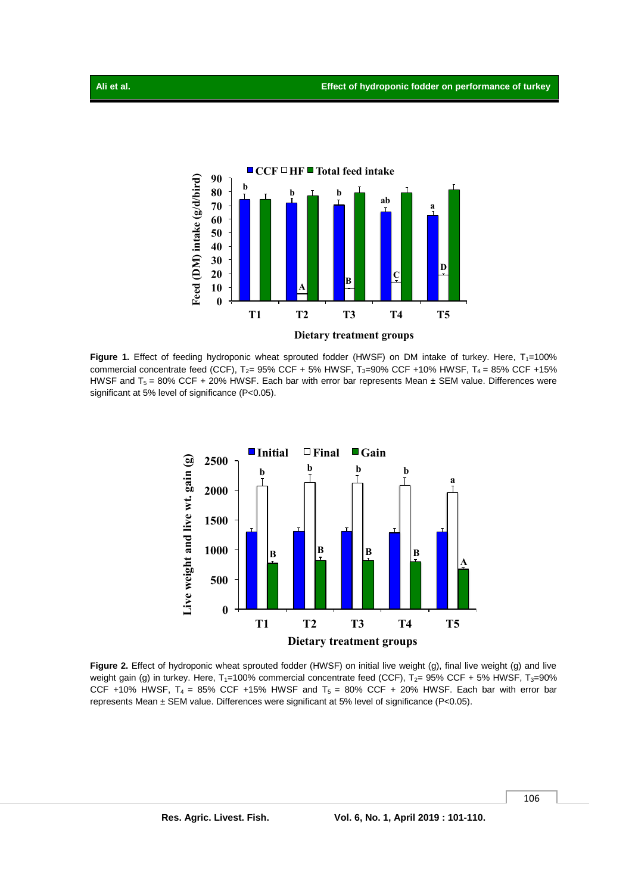

**Figure 1.** Effect of feeding hydroponic wheat sprouted fodder (HWSF) on DM intake of turkey. Here, T<sub>1</sub>=100% commercial concentrate feed (CCF),  $T_{2}= 95\%$  CCF + 5% HWSF,  $T_{3}=90\%$  CCF +10% HWSF,  $T_{4}= 85\%$  CCF +15% HWSF and T<sub>5</sub> = 80% CCF + 20% HWSF. Each bar with error bar represents Mean  $\pm$  SEM value. Differences were significant at 5% level of significance (P<0.05).



**Figure 2.** Effect of hydroponic wheat sprouted fodder (HWSF) on initial live weight (g), final live weight (g) and live weight gain (g) in turkey. Here, T<sub>1</sub>=100% commercial concentrate feed (CCF), T<sub>2</sub>= 95% CCF + 5% HWSF, T<sub>3</sub>=90% CCF +10% HWSF,  $T_4$  = 85% CCF +15% HWSF and  $T_5$  = 80% CCF + 20% HWSF. Each bar with error bar represents Mean ± SEM value. Differences were significant at 5% level of significance (P<0.05).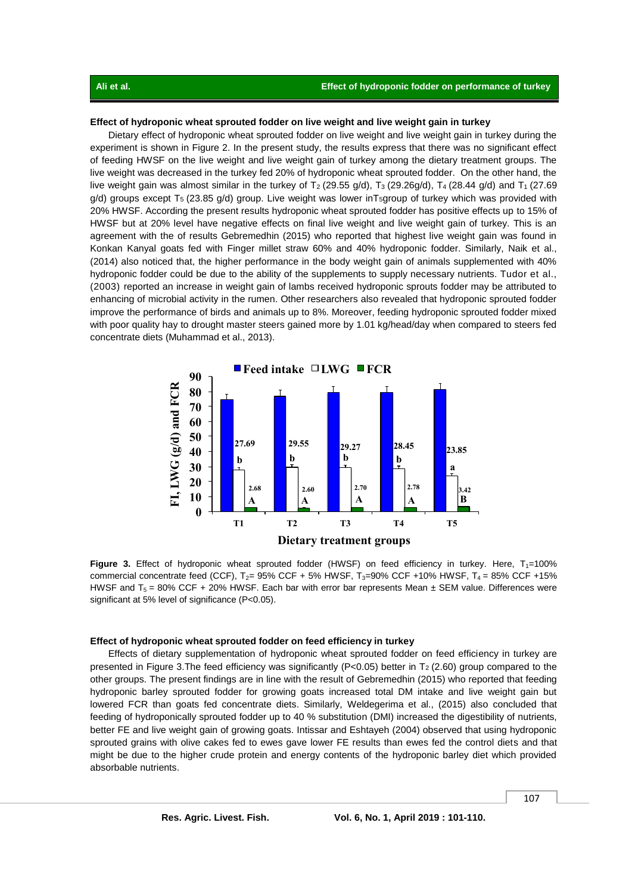#### **Ali et al. Effect of hydroponic fodder on performance of turkey**

### **Effect of hydroponic wheat sprouted fodder on live weight and live weight gain in turkey**

Dietary effect of hydroponic wheat sprouted fodder on live weight and live weight gain in turkey during the experiment is shown in Figure 2. In the present study, the results express that there was no significant effect of feeding HWSF on the live weight and live weight gain of turkey among the dietary treatment groups. The live weight was decreased in the turkey fed 20% of hydroponic wheat sprouted fodder. On the other hand, the live weight gain was almost similar in the turkey of  $T_2$  (29.55 g/d),  $T_3$  (29.26g/d),  $T_4$  (28.44 g/d) and  $T_1$  (27.69  $g/d$ ) groups except T<sub>5</sub> (23.85 g/d) group. Live weight was lower inT<sub>5</sub>group of turkey which was provided with 20% HWSF. According the present results hydroponic wheat sprouted fodder has positive effects up to 15% of HWSF but at 20% level have negative effects on final live weight and live weight gain of turkey. This is an agreement with the of results Gebremedhin (2015) who reported that highest live weight gain was found in Konkan Kanyal goats fed with Finger millet straw 60% and 40% hydroponic fodder. Similarly, Naik et al., (2014) also noticed that, the higher performance in the body weight gain of animals supplemented with 40% hydroponic fodder could be due to the ability of the supplements to supply necessary nutrients. Tudor et al., (2003) reported an increase in weight gain of lambs received hydroponic sprouts fodder may be attributed to enhancing of microbial activity in the rumen. Other researchers also revealed that hydroponic sprouted fodder improve the performance of birds and animals up to 8%. Moreover, feeding hydroponic sprouted fodder mixed with poor quality hay to drought master steers gained more by 1.01 kg/head/day when compared to steers fed concentrate diets (Muhammad et al., 2013).



**Figure 3.** Effect of hydroponic wheat sprouted fodder (HWSF) on feed efficiency in turkey. Here,  $T_{1}=100\%$ commercial concentrate feed (CCF),  $T_{2}= 95\%$  CCF + 5% HWSF,  $T_{3}=90\%$  CCF +10% HWSF,  $T_{4}= 85\%$  CCF +15% HWSF and  $T_5 = 80\%$  CCF + 20% HWSF. Each bar with error bar represents Mean  $\pm$  SEM value. Differences were significant at 5% level of significance (P<0.05).

#### **Effect of hydroponic wheat sprouted fodder on feed efficiency in turkey**

Effects of dietary supplementation of hydroponic wheat sprouted fodder on feed efficiency in turkey are presented in Figure 3. The feed efficiency was significantly (P<0.05) better in  $T_2$  (2.60) group compared to the other groups. The present findings are in line with the result of Gebremedhin (2015) who reported that feeding hydroponic barley sprouted fodder for growing goats increased total DM intake and live weight gain but lowered FCR than goats fed concentrate diets. Similarly, Weldegerima et al., (2015) also concluded that feeding of hydroponically sprouted fodder up to 40 % substitution (DMI) increased the digestibility of nutrients, better FE and live weight gain of growing goats. Intissar and Eshtayeh (2004) observed that using hydroponic sprouted grains with olive cakes fed to ewes gave lower FE results than ewes fed the control diets and that might be due to the higher crude protein and energy contents of the hydroponic barley diet which provided absorbable nutrients.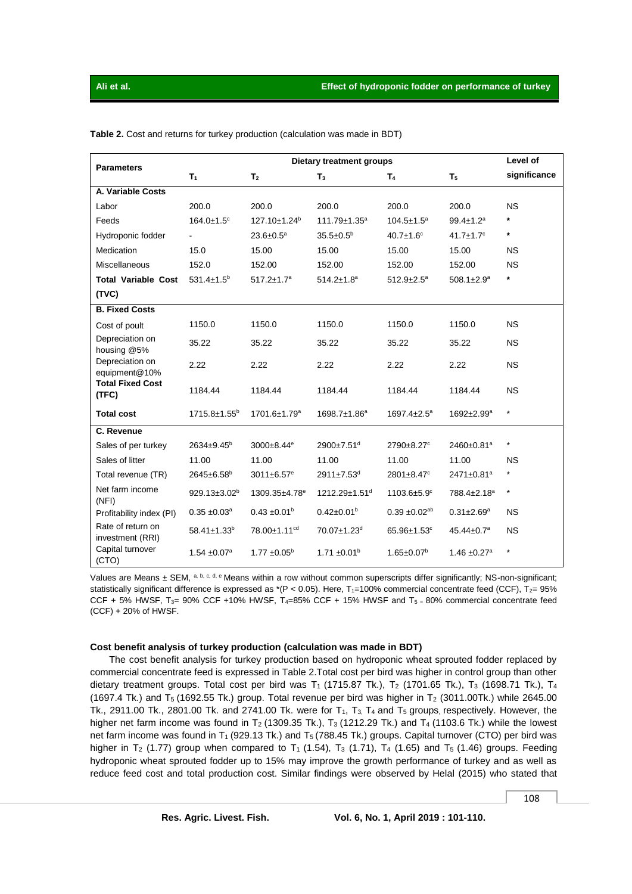| <b>Parameters</b>                     |                              | Level of                     |                              |                               |                              |              |
|---------------------------------------|------------------------------|------------------------------|------------------------------|-------------------------------|------------------------------|--------------|
|                                       | $T_1$                        | T <sub>2</sub>               | $T_{3}$                      | T <sub>4</sub>                | T <sub>5</sub>               | significance |
| A. Variable Costs                     |                              |                              |                              |                               |                              |              |
| Labor                                 | 200.0                        | 200.0                        | 200.0                        | 200.0                         | 200.0                        | <b>NS</b>    |
| Feeds                                 | $164.0 \pm 1.5$ °            | 127.10±1.24 <sup>b</sup>     | 111.79±1.35 <sup>a</sup>     | $104.5 \pm 1.5^a$             | $99.4 \pm 1.2^a$             | *            |
| Hydroponic fodder                     | $\blacksquare$               | $23.6 \pm 0.5^a$             | $35.5 \pm 0.5^{\circ}$       | $40.7 \pm 1.6$ <sup>c</sup>   | $41.7 \pm 1.7$ <sup>c</sup>  | $\star$      |
| Medication                            | 15.0                         | 15.00                        | 15.00                        | 15.00                         | 15.00                        | <b>NS</b>    |
| Miscellaneous                         | 152.0                        | 152.00                       | 152.00                       | 152.00                        | 152.00                       | <b>NS</b>    |
| <b>Total Variable Cost</b>            | $531.4 \pm 1.5^b$            | $517.2 \pm 1.7$ <sup>a</sup> | $514.2 \pm 1.8$ <sup>a</sup> | $512.9 \pm 2.5^a$             | $508.1 \pm 2.9^a$            | $\star$      |
| (TVC)                                 |                              |                              |                              |                               |                              |              |
| <b>B. Fixed Costs</b>                 |                              |                              |                              |                               |                              |              |
| Cost of poult                         | 1150.0                       | 1150.0                       | 1150.0                       | 1150.0                        | 1150.0                       | <b>NS</b>    |
| Depreciation on<br>housing @5%        | 35.22                        | 35.22                        | 35.22                        | 35.22                         | 35.22                        | <b>NS</b>    |
| Depreciation on<br>equipment@10%      | 2.22                         | 2.22                         | 2.22                         | 2.22                          | 2.22                         | <b>NS</b>    |
| <b>Total Fixed Cost</b><br>(TFC)      | 1184.44                      | 1184.44                      | 1184.44                      | 1184.44                       | 1184.44                      | <b>NS</b>    |
| <b>Total cost</b>                     | 1715.8±1.55 <sup>b</sup>     | 1701.6±1.79 <sup>a</sup>     | 1698.7±1.86 <sup>a</sup>     | $1697.4 \pm 2.5^a$            | 1692±2.99 <sup>a</sup>       | $\star$      |
| C. Revenue                            |                              |                              |                              |                               |                              |              |
| Sales of per turkey                   | $2634+9.45^b$                | $3000 \pm 8.44$ <sup>e</sup> | 2900±7.51 <sup>d</sup>       | 2790±8.27°                    | 2460±0.81 <sup>a</sup>       | $\star$      |
| Sales of litter                       | 11.00                        | 11.00                        | 11.00                        | 11.00                         | 11.00                        | <b>NS</b>    |
| Total revenue (TR)                    | $2645 \pm 6.58$ <sup>b</sup> | 3011±6.57 <sup>e</sup>       | 2911±7.53 <sup>d</sup>       | 2801±8.47°                    | 2471±0.81 <sup>a</sup>       | $\star$      |
| Net farm income<br>(NFI)              | 929.13±3.02 <sup>b</sup>     | 1309.35±4.78 <sup>e</sup>    | 1212.29±1.51 <sup>d</sup>    | $1103.6 + 5.9$ °              | 788.4±2.18 <sup>a</sup>      | $\star$      |
| Profitability index (PI)              | $0.35 \pm 0.03$ <sup>a</sup> | $0.43 \pm 0.01^b$            | $0.42 \pm 0.01^b$            | $0.39 \pm 0.02^{ab}$          | $0.31 \pm 2.69$ <sup>a</sup> | <b>NS</b>    |
| Rate of return on<br>investment (RRI) | $58.41 \pm 1.33^b$           | 78.00±1.11 <sup>cd</sup>     | 70.07±1.23 <sup>d</sup>      | $65.96 \pm 1.53$ <sup>c</sup> | $45.44 \pm 0.7$ <sup>a</sup> | <b>NS</b>    |
| Capital turnover<br>(CTO)             | $1.54 \pm 0.07$ <sup>a</sup> | $1.77 \pm 0.05^{\circ}$      | $1.71 \pm 0.01^b$            | $1.65 \pm 0.07^b$             | 1.46 $\pm$ 0.27 <sup>a</sup> | $\star$      |

**Table 2.** Cost and returns for turkey production (calculation was made in BDT)

Values are Means  $\pm$  SEM, a, b, c, d, e Means within a row without common superscripts differ significantly; NS-non-significant; statistically significant difference is expressed as  $*(P < 0.05)$ . Here, T<sub>1</sub>=100% commercial concentrate feed (CCF), T<sub>2</sub>= 95% CCF + 5% HWSF,  $T_3 = 90\%$  CCF +10% HWSF,  $T_4 = 85\%$  CCF + 15% HWSF and  $T_5 = 80\%$  commercial concentrate feed (CCF) + 20% of HWSF.

#### **Cost benefit analysis of turkey production (calculation was made in BDT)**

The cost benefit analysis for turkey production based on hydroponic wheat sprouted fodder replaced by commercial concentrate feed is expressed in Table 2.Total cost per bird was higher in control group than other dietary treatment groups. Total cost per bird was  $T_1$  (1715.87 Tk.),  $T_2$  (1701.65 Tk.),  $T_3$  (1698.71 Tk.),  $T_4$ (1697.4 Tk.) and T<sub>5</sub> (1692.55 Tk.) group. Total revenue per bird was higher in T<sub>2</sub> (3011.00Tk.) while 2645.00 Tk., 2911.00 Tk., 2801.00 Tk. and 2741.00 Tk. were for  $T_1$ ,  $T_3$ ,  $T_4$  and  $T_5$  groups, respectively. However, the higher net farm income was found in T<sub>2</sub> (1309.35 Tk.), T<sub>3</sub> (1212.29 Tk.) and T<sub>4</sub> (1103.6 Tk.) while the lowest net farm income was found in T<sub>1</sub> (929.13 Tk.) and T<sub>5</sub> (788.45 Tk.) groups. Capital turnover (CTO) per bird was higher in T<sub>2</sub> (1.77) group when compared to T<sub>1</sub> (1.54), T<sub>3</sub> (1.71), T<sub>4</sub> (1.65) and T<sub>5</sub> (1.46) groups. Feeding hydroponic wheat sprouted fodder up to 15% may improve the growth performance of turkey and as well as reduce feed cost and total production cost. Similar findings were observed by Helal (2015) who stated that

108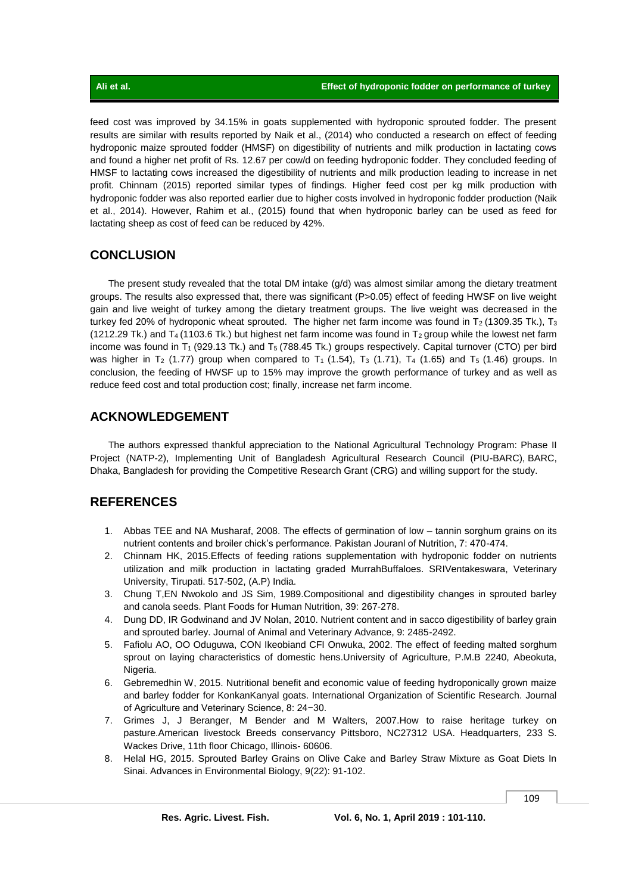feed cost was improved by 34.15% in goats supplemented with hydroponic sprouted fodder. The present results are similar with results reported by Naik et al., (2014) who conducted a research on effect of feeding hydroponic maize sprouted fodder (HMSF) on digestibility of nutrients and milk production in lactating cows and found a higher net profit of Rs. 12.67 per cow/d on feeding hydroponic fodder. They concluded feeding of HMSF to lactating cows increased the digestibility of nutrients and milk production leading to increase in net profit. Chinnam (2015) reported similar types of findings. Higher feed cost per kg milk production with hydroponic fodder was also reported earlier due to higher costs involved in hydroponic fodder production (Naik et al., 2014). However, Rahim et al., (2015) found that when hydroponic barley can be used as feed for lactating sheep as cost of feed can be reduced by 42%.

# **CONCLUSION**

The present study revealed that the total DM intake (g/d) was almost similar among the dietary treatment groups. The results also expressed that, there was significant (P>0.05) effect of feeding HWSF on live weight gain and live weight of turkey among the dietary treatment groups. The live weight was decreased in the turkey fed 20% of hydroponic wheat sprouted. The higher net farm income was found in  $T_2$  (1309.35 Tk.),  $T_3$ (1212.29 Tk.) and  $T_4$  (1103.6 Tk.) but highest net farm income was found in  $T_2$  group while the lowest net farm income was found in T<sub>1</sub> (929.13 Tk.) and T<sub>5</sub> (788.45 Tk.) groups respectively. Capital turnover (CTO) per bird was higher in T<sub>2</sub> (1.77) group when compared to T<sub>1</sub> (1.54), T<sub>3</sub> (1.71), T<sub>4</sub> (1.65) and T<sub>5</sub> (1.46) groups. In conclusion, the feeding of HWSF up to 15% may improve the growth performance of turkey and as well as reduce feed cost and total production cost; finally, increase net farm income.

## **ACKNOWLEDGEMENT**

The authors expressed thankful appreciation to the National Agricultural Technology Program: Phase II Project (NATP-2), Implementing Unit of Bangladesh Agricultural Research Council (PIU-BARC), BARC, Dhaka, Bangladesh for providing the Competitive Research Grant (CRG) and willing support for the study.

# **REFERENCES**

- 1. Abbas TEE and NA Musharaf, 2008. The effects of germination of low tannin sorghum grains on its nutrient contents and broiler chick's performance. Pakistan Jouranl of Nutrition, 7: 470-474.
- 2. Chinnam HK, 2015.Effects of feeding rations supplementation with hydroponic fodder on nutrients utilization and milk production in lactating graded MurrahBuffaloes. SRIVentakeswara, Veterinary University, Tirupati. 517-502, (A.P) India.
- 3. Chung T,EN Nwokolo and JS Sim, 1989.Compositional and digestibility changes in sprouted barley and canola seeds. Plant Foods for Human Nutrition, 39: 267-278.
- 4. Dung DD, IR Godwinand and JV Nolan, 2010. Nutrient content and in sacco digestibility of barley grain and sprouted barley. Journal of Animal and Veterinary Advance, 9: 2485-2492.
- 5. Fafiolu AO, OO Oduguwa, CON Ikeobiand CFI Onwuka, 2002. The effect of feeding malted sorghum sprout on laying characteristics of domestic hens.University of Agriculture, P.M.B 2240, Abeokuta, Nigeria.
- 6. Gebremedhin W, 2015. Nutritional benefit and economic value of feeding hydroponically grown maize and barley fodder for KonkanKanyal goats. International Organization of Scientific Research. Journal of Agriculture and Veterinary Science, 8: 24−30.
- 7. Grimes J, J Beranger, M Bender and M Walters, 2007.How to raise heritage turkey on pasture.American livestock Breeds conservancy Pittsboro, NC27312 USA. Headquarters, 233 S. Wackes Drive, 11th floor Chicago, Illinois- 60606.
- 8. Helal HG, 2015. Sprouted Barley Grains on Olive Cake and Barley Straw Mixture as Goat Diets In Sinai. Advances in Environmental Biology, 9(22): 91-102.